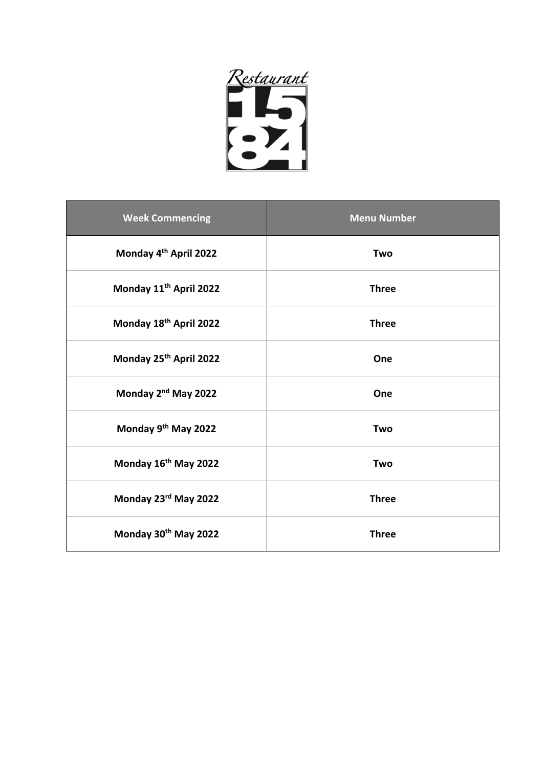

| <b>Week Commencing</b>             | <b>Menu Number</b> |
|------------------------------------|--------------------|
| Monday 4 <sup>th</sup> April 2022  | Two                |
| Monday 11 <sup>th</sup> April 2022 | <b>Three</b>       |
| Monday 18th April 2022             | <b>Three</b>       |
| Monday 25th April 2022             | One                |
| Monday 2 <sup>nd</sup> May 2022    | One                |
| Monday 9th May 2022                | Two                |
| Monday 16th May 2022               | Two                |
| Monday 23rd May 2022               | <b>Three</b>       |
| Monday 30th May 2022               | <b>Three</b>       |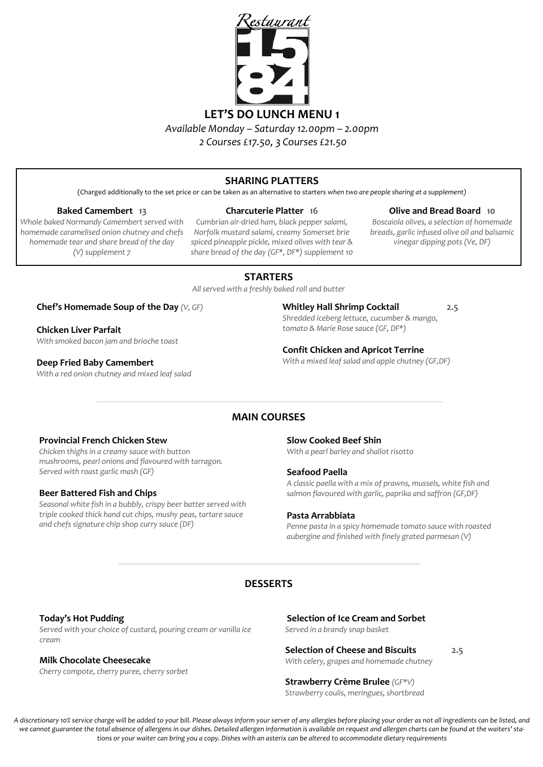

# **SHARING PLATTERS**

(Charged additionally to the set price or can be taken as an alternative to starters *when two are people sharing at a supplement)* 

#### **Baked Camembert 13**

*Whole baked Normandy Camembert served with homemade caramelised onion chutney and chefs homemade tear and share bread of the day (V) supplement 7*

#### **Charcuterie Platter 16**

*Cumbrian air-dried ham, black pepper salami, Norfolk mustard salami, creamy Somerset brie spiced pineapple pickle, mixed olives with tear & share bread of the day (GF\*, DF\*) supplement 10*

# **Olive and Bread Board 10**

*Boscaiola olives, a selection of homemade breads, garlic infused olive oil and balsamic vinegar dipping pots (Ve, DF)*

# **STARTERS**

*All served with a freshly baked roll and butter*

# **Chef's Homemade Soup of the Day** *(V, GF)*

**Chicken Liver Parfait** *With smoked bacon jam and brioche toast* 

#### **Deep Fried Baby Camembert**

*With a red onion chutney and mixed leaf salad*

#### **Whitley Hall Shrimp Cocktail 2.5**

*Shredded iceberg lettuce, cucumber & mango, tomato & Marie Rose sauce (GF, DF\*)*

#### **Confit Chicken and Apricot Terrine**

*With a mixed leaf salad and apple chutney (GF,DF)*

# **MAIN COURSES**

#### **Provincial French Chicken Stew**

*Chicken thighs in a creamy sauce with button mushrooms, pearl onions and flavoured with tarragon. Served with roast garlic mash (GF)*

#### **Beer Battered Fish and Chips**

*Seasonal white fish in a bubbly, crispy beer batter served with triple cooked thick hand cut chips, mushy peas, tartare sauce and chefs signature chip shop curry sauce (DF)*

#### **Slow Cooked Beef Shin**

*With a pearl barley and shallot risotto*

#### **Seafood Paella**

*A classic paella with a mix of prawns, mussels, white fish and salmon flavoured with garlic, paprika and saffron (GF,DF)*

#### **Pasta Arrabbiata**

*Penne pasta in a spicy homemade tomato sauce with roasted aubergine and finished with finely grated parmesan (V)*

# **DESSERTS**

#### **Today's Hot Pudding**

*Served with your choice of custard, pouring cream or vanilla ice cream*

# **Milk Chocolate Cheesecake**

*Cherry compote, cherry puree, cherry sorbet*

**Selection of Ice Cream and Sorbet**

*Served in a brandy snap basket*

# **Selection of Cheese and Biscuits 2.5**

*With celery, grapes and homemade chutney* 

# **Strawberry Crème Brulee** *(GF\*V)*

*Strawberry coulis, meringues, shortbread* 

*A discretionary 10% service charge will be added to your bill. Please always inform your server of any allergies before placing your order as not all ingredients can be listed, and*  we cannot guarantee the total absence of allergens in our dishes. Detailed allergen information is available on request and allergen charts can be found at the waiters' sta*tions or your waiter can bring you a copy. Dishes with an asterix can be altered to accommodate dietary requirements*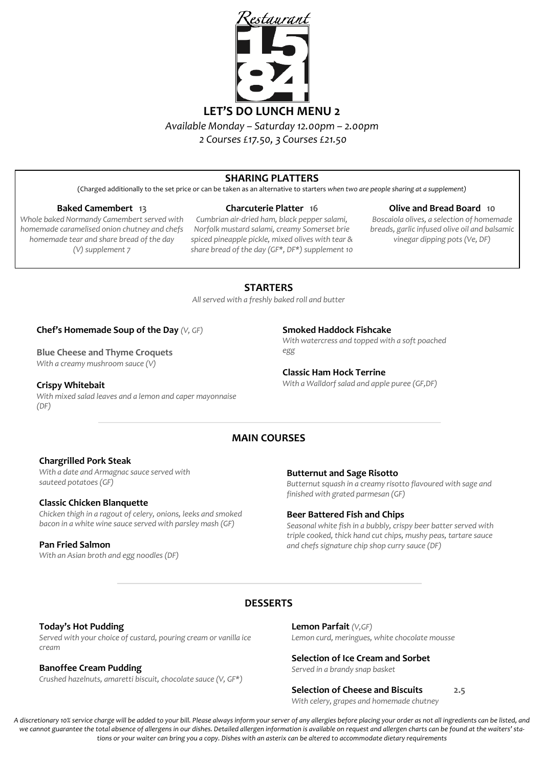

*2 Courses £17.50, 3 Courses £21.50* 

# **SHARING PLATTERS**

(Charged additionally to the set price or can be taken as an alternative to starters *when two are people sharing at a supplement)* 

#### **Baked Camembert 13**

*Whole baked Normandy Camembert served with homemade caramelised onion chutney and chefs homemade tear and share bread of the day (V) supplement 7*

#### **Charcuterie Platter 16**

*Cumbrian air-dried ham, black pepper salami, Norfolk mustard salami, creamy Somerset brie spiced pineapple pickle, mixed olives with tear & share bread of the day (GF\*, DF\*) supplement 10*

#### **Olive and Bread Board 10**

*Boscaiola olives, a selection of homemade breads, garlic infused olive oil and balsamic vinegar dipping pots (Ve, DF)*

# **STARTERS**

*All served with a freshly baked roll and butter*

#### **Chef's Homemade Soup of the Day** *(V, GF)*

**Blue Cheese and Thyme Croquets** *With a creamy mushroom sauce (V)*

**Crispy Whitebait** *With mixed salad leaves and a lemon and caper mayonnaise (DF)*

**Smoked Haddock Fishcake**

*With watercress and topped with a soft poached egg*

## **Classic Ham Hock Terrine**

*With a Walldorf salad and apple puree (GF,DF)*

# **MAIN COURSES**

#### **Chargrilled Pork Steak**

*With a date and Armagnac sauce served with sauteed potatoes (GF)*

#### **Classic Chicken Blanquette**

*Chicken thigh in a ragout of celery, onions, leeks and smoked bacon in a white wine sauce served with parsley mash (GF)*

## **Pan Fried Salmon**

*With an Asian broth and egg noodles (DF)*

**Butternut and Sage Risotto**

*Butternut squash in a creamy risotto flavoured with sage and finished with grated parmesan (GF)*

## **Beer Battered Fish and Chips**

*Seasonal white fish in a bubbly, crispy beer batter served with triple cooked, thick hand cut chips, mushy peas, tartare sauce and chefs signature chip shop curry sauce (DF)*

# **DESSERTS**

## **Today's Hot Pudding**

*Served with your choice of custard, pouring cream or vanilla ice cream*

## **Banoffee Cream Pudding**

*Crushed hazelnuts, amaretti biscuit, chocolate sauce (V, GF\*)* 

**Lemon Parfait** *(V,GF) Lemon curd, meringues, white chocolate mousse*

# **Selection of Ice Cream and Sorbet**

*Served in a brandy snap basket*

#### **Selection of Cheese and Biscuits 2.5**

*With celery, grapes and homemade chutney*

*A discretionary 10% service charge will be added to your bill. Please always inform your server of any allergies before placing your order as not all ingredients can be listed, and*  we cannot guarantee the total absence of allergens in our dishes. Detailed allergen information is available on request and allergen charts can be found at the waiters' sta*tions or your waiter can bring you a copy. Dishes with an asterix can be altered to accommodate dietary requirements*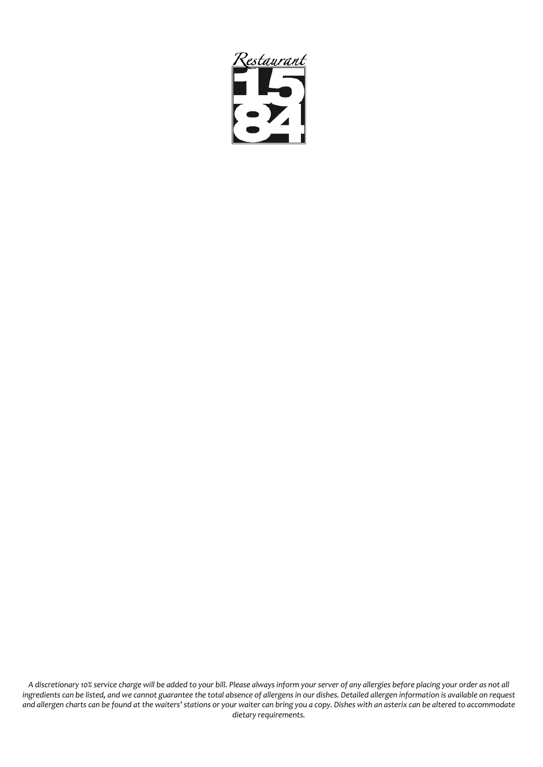

*A discretionary 10% service charge will be added to your bill. Please always inform your server of any allergies before placing your order as not all ingredients can be listed, and we cannot guarantee the total absence of allergens in our dishes. Detailed allergen information is available on request and allergen charts can be found at the waiters' stations or your waiter can bring you a copy. Dishes with an asterix can be altered to accommodate dietary requirements.*